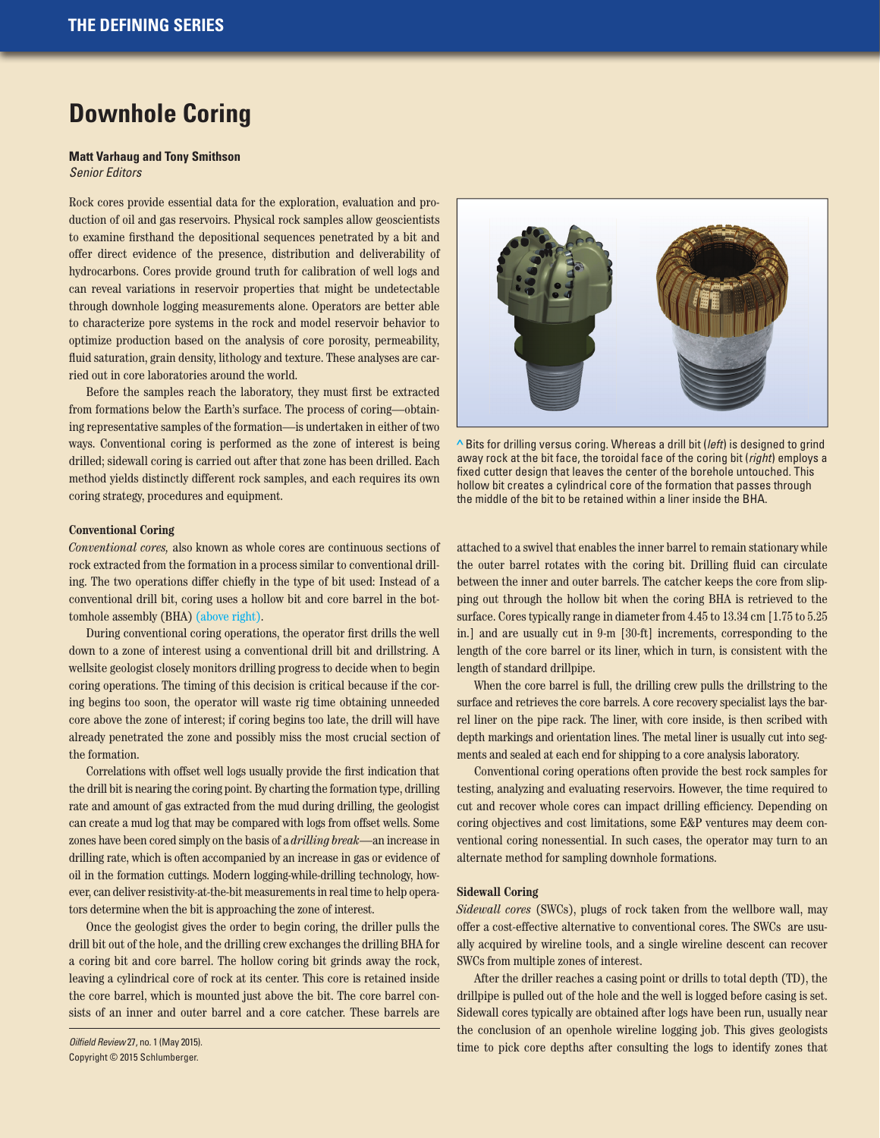# **Downhole Coring**

### **Matt Varhaug and Tony Smithson** *Senior Editors*

Rock cores provide essential data for the exploration, evaluation and production of oil and gas reservoirs. Physical rock samples allow geoscientists to examine firsthand the depositional sequences penetrated by a bit and offer direct evidence of the presence, distribution and deliverability of hydrocarbons. Cores provide ground truth for calibration of well logs and can reveal variations in reservoir properties that might be undetectable through downhole logging measurements alone. Operators are better able to characterize pore systems in the rock and model reservoir behavior to optimize production based on the analysis of core porosity, permeability, fluid saturation, grain density, lithology and texture. These analyses are carried out in core laboratories around the world.

Before the samples reach the laboratory, they must first be extracted from formations below the Earth's surface. The process of coring—obtaining representative samples of the formation—is undertaken in either of two ways. Conventional coring is performed as the zone of interest is being drilled; sidewall coring is carried out after that zone has been drilled. Each method yields distinctly different rock samples, and each requires its own coring strategy, procedures and equipment.

#### **Conventional Coring**

*Conventional cores,* also known as whole cores are continuous sections of rock extracted from the formation in a process similar to conventional drilling. The two operations differ chiefly in the type of bit used: Instead of a conventional drill bit, coring uses a hollow bit and core barrel in the bottomhole assembly (BHA) (above right).

During conventional coring operations, the operator first drills the well down to a zone of interest using a conventional drill bit and drillstring. A wellsite geologist closely monitors drilling progress to decide when to begin coring operations. The timing of this decision is critical because if the coring begins too soon, the operator will waste rig time obtaining unneeded core above the zone of interest; if coring begins too late, the drill will have already penetrated the zone and possibly miss the most crucial section of the formation.

Correlations with offset well logs usually provide the first indication that the drill bit is nearing the coring point. By charting the formation type, drilling rate and amount of gas extracted from the mud during drilling, the geologist can create a mud log that may be compared with logs from offset wells. Some zones have been cored simply on the basis of a *drilling break*—an increase in drilling rate, which is often accompanied by an increase in gas or evidence of oil in the formation cuttings. Modern logging-while-drilling technology, however, can deliver resistivity-at-the-bit measurements in real time to help operators determine when the bit is approaching the zone of interest.

Once the geologist gives the order to begin coring, the driller pulls the drill bit out of the hole, and the drilling crew exchanges the drilling BHA for a coring bit and core barrel. The hollow coring bit grinds away the rock, leaving a cylindrical core of rock at its center. This core is retained inside the core barrel, which is mounted just above the bit. The core barrel consists of an inner and outer barrel and a core catcher. These barrels are

*Oilfield Review* 27, no. 1 (May 2015). Copyright © 2015 Schlumberger.



**>** Bits for drilling versus coring. Whereas a drill bit (*left*) is designed to grind away rock at the bit face, the toroidal face of the coring bit (*right*) employs a fixed cutter design that leaves the center of the borehole untouched. This hollow bit creates a cylindrical core of the formation that passes through the middle of the bit to be retained within a liner inside the BHA.

attached to a swivel that enables the inner barrel to remain stationary while the outer barrel rotates with the coring bit. Drilling fluid can circulate between the inner and outer barrels. The catcher keeps the core from slipping out through the hollow bit when the coring BHA is retrieved to the surface. Cores typically range in diameter from 4.45 to 13.34 cm [1.75 to 5.25 in.] and are usually cut in 9-m [30-ft] increments, corresponding to the length of the core barrel or its liner, which in turn, is consistent with the length of standard drillpipe.

When the core barrel is full, the drilling crew pulls the drillstring to the surface and retrieves the core barrels. A core recovery specialist lays the barrel liner on the pipe rack. The liner, with core inside, is then scribed with depth markings and orientation lines. The metal liner is usually cut into segments and sealed at each end for shipping to a core analysis laboratory.

Conventional coring operations often provide the best rock samples for testing, analyzing and evaluating reservoirs. However, the time required to cut and recover whole cores can impact drilling efficiency. Depending on coring objectives and cost limitations, some E&P ventures may deem conventional coring nonessential. In such cases, the operator may turn to an alternate method for sampling downhole formations.

## **Sidewall Coring**

*Sidewall cores* (SWCs), plugs of rock taken from the wellbore wall, may offer a cost-effective alternative to conventional cores. The SWCs are usually acquired by wireline tools, and a single wireline descent can recover SWCs from multiple zones of interest.

After the driller reaches a casing point or drills to total depth (TD), the drillpipe is pulled out of the hole and the well is logged before casing is set. Sidewall cores typically are obtained after logs have been run, usually near the conclusion of an openhole wireline logging job. This gives geologists time to pick core depths after consulting the logs to identify zones that